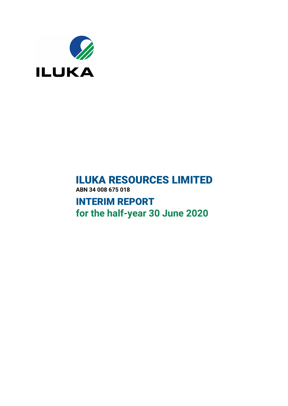

# **ILUKA RESOURCES LIMITED ABN 34 008 675 018**

**INTERIM REPORT for the half-year 30 June 2020**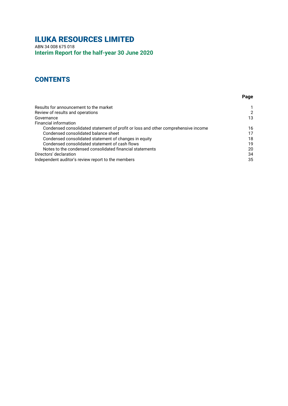# **ILUKA RESOURCES LIMITED**

ABN 34 008 675 018 **Interim Report for the half-year 30 June 2020**

## **CONTENTS**

| Results for announcement to the market                                            |    |
|-----------------------------------------------------------------------------------|----|
| Review of results and operations                                                  | 2  |
| Governance                                                                        | 13 |
| Financial information                                                             |    |
| Condensed consolidated statement of profit or loss and other comprehensive income | 16 |
| Condensed consolidated balance sheet                                              | 17 |
| Condensed consolidated statement of changes in equity                             | 18 |
| Condensed consolidated statement of cash flows                                    | 19 |
| Notes to the condensed consolidated financial statements                          | 20 |
| Directors' declaration                                                            | 34 |
| Independent auditor's review report to the members                                | 35 |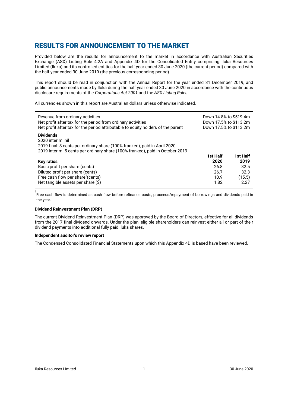## <span id="page-2-0"></span>**RESULTS FOR ANNOUNCEMENT TO THE MARKET**

Provided below are the results for announcement to the market in accordance with Australian Securities Exchange (ASX) Listing Rule 4.2A and Appendix 4D for the Consolidated Entity comprising Iluka Resources Limited (Iluka) and its controlled entities for the half year ended 30 June 2020 (the current period) compared with the half year ended 30 June 2019 (the previous corresponding period).

This report should be read in conjunction with the Annual Report for the year ended 31 December 2019, and public announcements made by Iluka during the half year ended 30 June 2020 in accordance with the continuous disclosure requirements of the *Corporations Act 2001* and the *ASX Listing Rules.*

All currencies shown in this report are Australian dollars unless otherwise indicated.

| Revenue from ordinary activities<br>Net profit after tax for the period from ordinary activities<br>Net profit after tax for the period attributable to equity holders of the parent                | Down 14.8% to \$519.4m<br>Down 17.5% to \$113.2m<br>Down 17.5% to \$113.2m |          |
|-----------------------------------------------------------------------------------------------------------------------------------------------------------------------------------------------------|----------------------------------------------------------------------------|----------|
| <b>Dividends</b><br>2020 interim: nil<br>2019 final: 8 cents per ordinary share (100% franked), paid in April 2020<br>2019 interim: 5 cents per ordinary share (100% franked), paid in October 2019 | 1st Half                                                                   | 1st Half |
| <b>Key ratios</b>                                                                                                                                                                                   | 2020                                                                       | 2019     |
| Basic profit per share (cents)                                                                                                                                                                      | 26.8                                                                       | 32.5     |
| Diluted profit per share (cents)                                                                                                                                                                    | 26.7                                                                       | 32.3     |
| Free cash flow per share <sup>1</sup> (cents)                                                                                                                                                       | 10.9                                                                       | (15.5)   |
| Net tangible assets per share $(\hat{\mathsf{S}})$                                                                                                                                                  | 1.82                                                                       | 2.27     |

1<br>Free cash flow is determined as cash flow before refinance costs, proceeds/repayment of borrowings and dividends paid in the year.

### **Dividend Reinvestment Plan (DRP)**

The current Dividend Reinvestment Plan (DRP) was approved by the Board of Directors, effective for all dividends from the 2017 final dividend onwards. Under the plan, eligible shareholders can reinvest either all or part of their dividend payments into additional fully paid Iluka shares.

### **Independent auditor's review report**

The Condensed Consolidated Financial Statements upon which this Appendix 4D is based have been reviewed.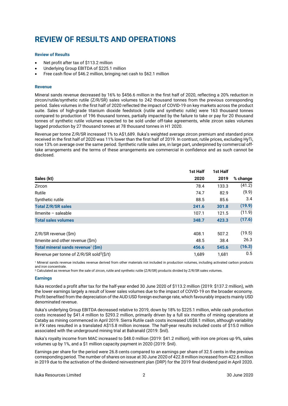# **REVIEW OF RESULTS AND OPERATIONS**

### **Review of Results**

- Net profit after tax of \$113.2 million
- Underlying Group EBITDA of \$225.1 million
- Free cash flow of \$46.2 million, bringing net cash to \$62.1 million

### **Revenue**

Mineral sands revenue decreased by 16% to \$456.6 million in the first half of 2020, reflecting a 20% reduction in zircon/rutile/synthetic rutile (Z/R/SR) sales volumes to 242 thousand tonnes from the previous corresponding period. Sales volumes in the first half of 2020 reflected the impact of COVID-19 on key markets across the product suite. Sales of high-grade titanium dioxide feedstock (rutile and synthetic rutile) were 163 thousand tonnes compared to production of 196 thousand tonnes, partially impacted by the failure to take or pay for 20 thousand tonnes of synthetic rutile volumes expected to be sold under off-take agreements, while zircon sales volumes lagged production by 27 thousand tonnes at 78 thousand tonnes in H1 2020.

Revenue per tonne Z/R/SR increased 1% to A\$1,689. Iluka's weighted average zircon premium and standard price received in the first half of 2020 was 11% lower than the first half of 2019. In contrast, rutile prices, excluding HyTi, rose 13% on average over the same period. Synthetic rutile sales are, in large part, underpinned by commercial offtake arrangements and the terms of these arrangements are commercial in confidence and as such cannot be disclosed.

|                                                        | 1st Half | 1st Half |          |
|--------------------------------------------------------|----------|----------|----------|
| Sales (kt)                                             | 2020     | 2019     | % change |
| Zircon                                                 | 78.4     | 133.3    | (41.2)   |
| Rutile                                                 | 74.7     | 82.9     | (9.9)    |
| Synthetic rutile                                       | 88.5     | 85.6     | 3.4      |
| <b>Total Z/R/SR sales</b>                              | 241.6    | 301.8    | (19.9)   |
| $Ilmente - saleable$                                   | 107.1    | 121.5    | (11.9)   |
| <b>Total sales volumes</b>                             | 348.7    | 423.3    | (17.6)   |
| Z/R/SR revenue (\$m)                                   | 408.1    | 507.2    | (19.5)   |
| Ilmenite and other revenue (\$m)                       | 48.5     | 38.4     | 26.3     |
| Total mineral sands revenue <sup>1</sup> (\$m)         | 456.6    | 545.6    | (16.3)   |
| Revenue per tonne of $Z/R/SR$ sold <sup>2</sup> (\$/t) | 1.689    | 1.681    | 0.5      |

1 Mineral sands revenue includes revenue derived from other materials not included in production volumes, including activated carbon products and iron concentrate.

2 Calculated as revenue from the sale of zircon, rutile and synthetic rutile (Z/R/SR) products divided by Z/R/SR sales volumes.

### **Earnings**

Iluka recorded a profit after tax for the half-year ended 30 June 2020 of \$113.2 million (2019: \$137.2 million), with the lower earnings largely a result of lower sales volumes due to the impact of COVID-19 on the broader economy. Profit benefited from the depreciation of the AUD:USD foreign exchange rate, which favourably impacts mainly USD denominated revenue.

Iluka's underlying Group EBITDA decreased relative to 2019, down by 18% to \$225.1 million, while cash production costs increased by \$41.4 million to \$293.2 million, primarily driven by a full six months of mining operations at Cataby as mining commenced in April 2019. Sierra Rutile cash costs increased US\$8.1 million, although variability in FX rates resulted in a translated A\$15.8 million increase. The half-year results included costs of \$15.0 million associated with the underground mining trial at Balranald (2019: \$nil).

Iluka's royalty income from MAC increased to \$48.0 million (2019: \$41.2 million), with iron ore prices up 9%, sales volumes up by 1%, and a \$1 million capacity payment in 2020 (2019: \$nil).

Earnings per share for the period were 26.8 cents compared to an earnings per share of 32.5 cents in the previous corresponding period. The number of shares on issue at 30 June 2020 of 422.8 million increased from 422.6 million in 2019 due to the activation of the dividend reinvestment plan (DRP) for the 2019 final dividend paid in April 2020.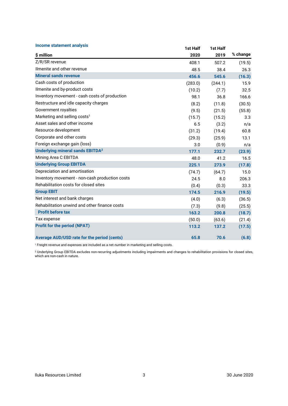| <b>Income statement analysis</b>               | 1st Half | 1st Half |          |
|------------------------------------------------|----------|----------|----------|
| \$ million                                     | 2020     | 2019     | % change |
| Z/R/SR revenue                                 | 408.1    | 507.2    | (19.5)   |
| Ilmenite and other revenue                     | 48.5     | 38.4     | 26.3     |
| <b>Mineral sands revenue</b>                   | 456.6    | 545.6    | (16.3)   |
| Cash costs of production                       | (283.0)  | (244.1)  | 15.9     |
| Ilmenite and by-product costs                  | (10.2)   | (7.7)    | 32.5     |
| Inventory movement - cash costs of production  | 98.1     | 36.8     | 166.6    |
| Restructure and idle capacity charges          | (8.2)    | (11.8)   | (30.5)   |
| Government royalties                           | (9.5)    | (21.5)   | (55.8)   |
| Marketing and selling costs <sup>1</sup>       | (15.7)   | (15.2)   | 3.3      |
| Asset sales and other income                   | 6.5      | (3.2)    | n/a      |
| Resource development                           | (31.2)   | (19.4)   | 60.8     |
| Corporate and other costs                      | (29.3)   | (25.9)   | 13.1     |
| Foreign exchange gain (loss)                   | 3.0      | (0.9)    | n/a      |
| Underlying mineral sands EBITDA <sup>2</sup>   | 177.1    | 232.7    | (23.9)   |
| Mining Area C EBITDA                           | 48.0     | 41.2     | 16.5     |
| <b>Underlying Group EBITDA</b>                 | 225.1    | 273.9    | (17.8)   |
| Depreciation and amortisation                  | (74.7)   | (64.7)   | 15.0     |
| Inventory movement - non-cash production costs | 24.5     | 8.0      | 206.3    |
| Rehabilitation costs for closed sites          | (0.4)    | (0.3)    | 33.3     |
| <b>Group EBIT</b>                              | 174.5    | 216.9    | (19.5)   |
| Net interest and bank charges                  | (4.0)    | (6.3)    | (36.5)   |
| Rehabilitation unwind and other finance costs  | (7.3)    | (9.8)    | (25.5)   |
| <b>Profit before tax</b>                       | 163.2    | 200.8    | (18.7)   |
| Tax expense                                    | (50.0)   | (63.6)   | (21.4)   |
| <b>Profit for the period (NPAT)</b>            | 113.2    | 137.2    | (17.5)   |
| Average AUD/USD rate for the period (cents)    | 65.8     | 70.6     | (6.8)    |

1 Freight revenue and expenses are included as a net number in marketing and selling costs.

2 Underlying Group EBITDA excludes non-recurring adjustments including impairments and changes to rehabilitation provisions for closed sites, which are non-cash in nature.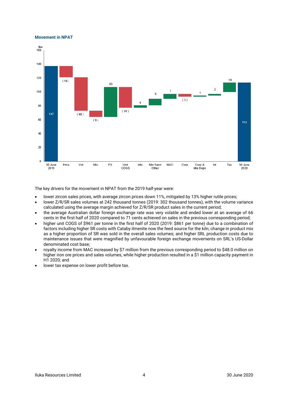### **Movement in NPAT**



The key drivers for the movement in NPAT from the 2019 half-year were:

- lower zircon sales prices, with average zircon prices down 11%, mitigated by 13% higher rutile prices;
- lower Z/R/SR sales volumes at 242 thousand tonnes (2019: 302 thousand tonnes), with the volume variance calculated using the average margin achieved for Z/R/SR product sales in the current period;
- the average Australian dollar foreign exchange rate was very volatile and ended lower at an average of 66 cents in the first half of 2020 compared to 71 cents achieved on sales in the previous corresponding period;
- higher unit COGS of \$961 per tonne in the first half of 2020 (2019: \$861 per tonne) due to a combination of factors including higher SR costs with Cataby ilmenite now the feed source for the kiln; change in product mix as a higher proportion of SR was sold in the overall sales volumes; and higher SRL production costs due to maintenance issues that were magnified by unfavourable foreign exchange movements on SRL's US-Dollar denominated cost base;
- royalty income from MAC increased by \$7 million from the previous corresponding period to \$48.0 million on higher iron ore prices and sales volumes, while higher production resulted in a \$1 million capacity payment in H1 2020; and
- lower tax expense on lower profit before tax.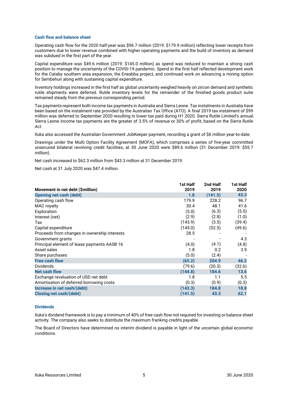### **Cash flow and balance sheet**

Operating cash flow for the 2020 half-year was \$96.7 million (2019: \$179.9 million) reflecting lower receipts from customers due to lower revenue combined with higher operating payments and the build of inventory as demand was subdued in the first part of the year.

Capital expenditure was \$49.6 million (2019: \$145.0 million) as spend was reduced to maintain a strong cash position to manage the uncertainty of the COVID-19 pandemic. Spend in the first half reflected development work for the Cataby southern area expansion, the Eneabba project, and continued work on advancing a mining option for Sembehun along with sustaining capital expenditure.

Inventory holdings increased in the first half as global uncertainty weighed heavily on zircon demand and synthetic rutile shipments were deferred. Rutile inventory levels for the remainder of the finished goods product suite remained steady from the previous corresponding period.

Tax payments represent both income tax payments in Australia and Sierra Leone. Tax instalments in Australia have been based on the instalment rate provided by the Australian Tax Office (ATO). A final 2019 tax instalment of \$99 million was deferred to September 2020 resulting in lower tax paid during H1 2020. Sierra Rutile Limited's annual Sierra Leone income tax payments are the greater of 3.5% of revenue or 30% of profit, based on the *Sierra Rutile Act*.

Iluka also accessed the Australian Government JobKeeper payment, recording a grant of \$6 million year-to-date.

Drawings under the Multi Option Facility Agreement (MOFA), which comprises a series of five-year committed unsecured bilateral revolving credit facilities, at 30 June 2020 were \$89.6 million (31 December 2019: \$55.7 million).

Net cash increased to \$62.3 million from \$43.3 million at 31 December 2019.

Net cash at 31 July 2020 was \$47.4 million.

|                                              | 1st Half | 2nd Half | 1st Half |
|----------------------------------------------|----------|----------|----------|
| Movement in net debt (\$million)             | 2019     | 2019     | 2020     |
| <b>Opening net cash (debt)</b>               | 1.8      | (141.5)  | 43.3     |
| Operating cash flow                          | 179.9    | 228.2    | 96.7     |
| MAC royalty                                  | 30.4     | 48.1     | 41.6     |
| Exploration                                  | (5.0)    | (6.3)    | (5.5)    |
| Interest (net)                               | (2.9)    | (2.8)    | (1.0)    |
| Tax                                          | (143.9)  | (3.5)    | (39.4)   |
| Capital expenditure                          | (145.0)  | (52.5)   | (49.6)   |
| Proceeds from changes in ownership interests | 28.5     |          |          |
| Government grants                            |          |          | 4.3      |
| Principal element of lease payments AASB 16  | (4.0)    | (4.1)    | (4.8)    |
| Asset sales                                  | 1.8      | 0.2      | 3.9      |
| Share purchases                              | (5.0)    | (2.4)    |          |
| <b>Free cash flow</b>                        | (65.2)   | 204.9    | 46.2     |
| <b>Dividends</b>                             | (79.6)   | (20.3)   | (32.6)   |
| <b>Net cash flow</b>                         | (144.8)  | 184.6    | 13.6     |
| Exchange revaluation of USD net debt         | 1.8      | 1.1      | 5.5      |
| Amortisation of deferred borrowing costs     | (0.3)    | (0.9)    | (0.3)    |
| Increase in net cash/(debt)                  | (143.3)  | 184.8    | 18.8     |
| Closing net cash/(debt)                      | (141.5)  | 43.3     | 62.1     |
|                                              |          |          |          |

### **Dividends**

Iluka's dividend framework is to pay a minimum of 40% of free cash flow not required for investing or balance sheet activity. The company also seeks to distribute the maximum franking credits payable.

The Board of Directors have determined no interim dividend is payable in light of the uncertain global economic conditions.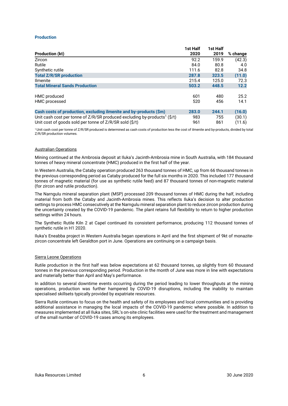### **Production**

|                                                                                            | 1st Half | 1st Half |          |
|--------------------------------------------------------------------------------------------|----------|----------|----------|
| <b>Production (kt)</b>                                                                     | 2020     | 2019     | % change |
| Zircon                                                                                     | 92.2     | 159.9    | (42.3)   |
| Rutile                                                                                     | 84.0     | 80.8     | 4.0      |
| Synthetic rutile                                                                           | 111.6    | 82.8     | 34.8     |
| <b>Total Z/R/SR production</b>                                                             | 287.8    | 323.5    | (11.0)   |
| <b>Ilmenite</b>                                                                            | 215.4    | 125.0    | 72.3     |
| <b>Total Mineral Sands Production</b>                                                      | 503.2    | 448.5    | 12.2     |
|                                                                                            |          |          |          |
| HMC produced                                                                               | 601      | 480      | 25.2     |
| HMC processed                                                                              | 520      | 456      | 14.1     |
|                                                                                            |          |          |          |
| Cash costs of production, excluding ilmenite and by-products (\$m)                         | 283.0    | 244.1    | (16.0)   |
| Unit cash cost per tonne of $Z/R/SR$ produced excluding by-products <sup>1</sup> ( $S/t$ ) | 983      | 755      | (30.1)   |
| Unit cost of goods sold per tonne of Z/R/SR sold (\$/t)                                    | 961      | 861      | (11.6)   |

1 Unit cash cost per tonne of Z/R/SR produced is determined as cash costs of production less the cost of ilmenite and by-products, divided by total Z/R/SR production volumes.

### Australian Operations

Mining continued at the Ambrosia deposit at Iluka's Jacinth-Ambrosia mine in South Australia, with 184 thousand tonnes of heavy mineral concentrate (HMC) produced in the first half of the year.

In Western Australia, the Cataby operation produced 263 thousand tonnes of HMC, up from 66 thousand tonnes in the previous corresponding period as Cataby produced for the full six months in 2020. This included 177 thousand tonnes of magnetic material (for use as synthetic rutile feed) and 87 thousand tonnes of non-magnetic material (for zircon and rutile production).

The Narngulu mineral separation plant (MSP) processed 209 thousand tonnes of HMC during the half, including material from both the Cataby and Jacinth-Ambrosia mines. This reflects Iluka's decision to alter production settings to process HMC consecutively at the Narngulu mineral separation plant to reduce zircon production during the uncertainty created by the COVID-19 pandemic. The plant retains full flexibility to return to higher production settings within 24 hours.

The Synthetic Rutile Kiln 2 at Capel continued its consistent performance, producing 112 thousand tonnes of synthetic rutile in H1 2020.

Iluka's Eneabba project in Western Australia began operations in April and the first shipment of 9kt of monazitezircon concentrate left Geraldton port in June. Operations are continuing on a campaign basis.

### Sierra Leone Operations

Rutile production in the first half was below expectations at 62 thousand tonnes, up slightly from 60 thousand tonnes in the previous corresponding period. Production in the month of June was more in line with expectations and materially better than April and May's performance.

In addition to several downtime events occurring during the period leading to lower throughputs at the mining operations, production was further hampered by COVID-19 disruptions, including the inability to maintain specialised skillsets typically provided by expatriate resources.

Sierra Rutile continues to focus on the health and safety of its employees and local communities and is providing additional assistance in managing the local impacts of the COVID-19 pandemic where possible. In addition to measures implemented at all Iluka sites, SRL's on-site clinic facilities were used for the treatment and management of the small number of COVID-19 cases among its employees.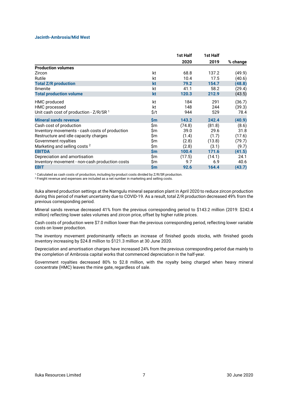### **Jacinth-Ambrosia/Mid West**

|                                                |               | 1st Half | 1st Half |          |
|------------------------------------------------|---------------|----------|----------|----------|
|                                                |               | 2020     | 2019     | % change |
| <b>Production volumes</b>                      |               |          |          |          |
| Zircon                                         | kt            | 68.8     | 137.2    | (49.9)   |
| Rutile                                         | kt            | 10.4     | 17.5     | (40.6)   |
| <b>Total Z/R production</b>                    | kt            | 79.2     | 154.7    | (48.8)   |
| <b>Ilmenite</b>                                | kt            | 41.1     | 58.2     | (29.4)   |
| <b>Total production volume</b>                 | kt            | 120.3    | 212.9    | (43.5)   |
| HMC produced                                   | kt            | 184      | 291      | (36.7)   |
| HMC processed                                  | kt            | 148      | 244      | (39.3)   |
| Unit cash cost of production - $Z/R/SR1$       | \$/t          | 944      | 529      | 78.4     |
| <b>Mineral sands revenue</b>                   | $\mathsf{Sm}$ | 143.2    | 242.4    | (40.9)   |
| Cash cost of production                        | \$m           | (74.8)   | (81.8)   | (8.6)    |
| Inventory movements - cash costs of production | \$m           | 39.0     | 29.6     | 31.8     |
| Restructure and idle capacity charges          | \$m           | (1.4)    | (1.7)    | (17.6)   |
| Government royalties                           | \$m           | (2.8)    | (13.8)   | (79.7)   |
| Marketing and selling costs <sup>2</sup>       | \$m           | (2.8)    | (3.1)    | (9.7)    |
| <b>EBITDA</b>                                  | \$m           | 100.4    | 171.6    | (41.5)   |
| Depreciation and amortisation                  | \$m           | (17.5)   | (14.1)   | 24.1     |
| Inventory movement - non-cash production costs | \$m           | 9.7      | 6.9      | 40.6     |
| <b>EBIT</b>                                    | \$m           | 92.6     | 164.4    | (43.7)   |

<sup>1</sup> Calculated as cash costs of production, including by-product costs divided by Z/R/SR production.

2 Freight revenue and expenses are included as a net number in marketing and selling costs.

Iluka altered production settings at the Narngulu mineral separation plant in April 2020 to reduce zircon production during this period of market uncertainty due to COVID-19. As a result, total Z/R production decreased 49% from the previous corresponding period.

Mineral sands revenue decreased 41% from the previous corresponding period to \$143.2 million (2019: \$242.4 million) reflecting lower sales volumes and zircon price, offset by higher rutile prices.

Cash costs of production were \$7.0 million lower than the previous corresponding period, reflecting lower variable costs on lower production.

The inventory movement predominantly reflects an increase of finished goods stocks, with finished goods inventory increasing by \$24.8 million to \$121.3 million at 30 June 2020.

Depreciation and amortisation charges have increased 24% from the previous corresponding period due mainly to the completion of Ambrosia capital works that commenced depreciation in the half-year.

Government royalties decreased 80% to \$2.8 million, with the royalty being charged when heavy mineral concentrate (HMC) leaves the mine gate, regardless of sale.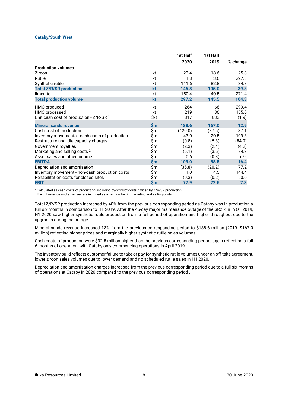### **Cataby/South West**

|                                                |               | 1st Half | 1st Half |          |
|------------------------------------------------|---------------|----------|----------|----------|
|                                                |               | 2020     | 2019     | % change |
| <b>Production volumes</b>                      |               |          |          |          |
| Zircon                                         | kt            | 23.4     | 18.6     | 25.8     |
| Rutile                                         | kt            | 11.8     | 3.6      | 227.8    |
| Synthetic rutile                               | kt            | 111.6    | 82.8     | 34.8     |
| <b>Total Z/R/SR production</b>                 | kt            | 146.8    | 105.0    | 39.8     |
| <b>Ilmenite</b>                                | kt            | 150.4    | 40.5     | 271.4    |
| <b>Total production volume</b>                 | kt            | 297.2    | 145.5    | 104.3    |
| HMC produced                                   | kt            | 264      | 66       | 299.4    |
| HMC processed                                  | kt            | 219      | 86       | 155.0    |
| Unit cash cost of production - $Z/R/SR1$       | \$/t          | 817      | 833      | (1.9)    |
| <b>Mineral sands revenue</b>                   | $\mathsf{Sm}$ | 188.6    | 167.0    | 12.9     |
| Cash cost of production                        | \$m           | (120.0)  | (87.5)   | 37.1     |
| Inventory movements - cash costs of production | \$m           | 43.0     | 20.5     | 109.8    |
| Restructure and idle capacity charges          | \$m           | (0.8)    | (5.3)    | (84.9)   |
| Government royalties                           | \$m           | (2.3)    | (2.4)    | (4.2)    |
| Marketing and selling costs <sup>2</sup>       | \$m           | (6.1)    | (3.5)    | 74.3     |
| Asset sales and other income                   | \$m           | 0.6      | (0.3)    | n/a      |
| <b>EBITDA</b>                                  | $\mathsf{Sm}$ | 103.0    | 88.5     | 16.4     |
| Depreciation and amortisation                  | \$m           | (35.8)   | (20.2)   | 77.2     |
| Inventory movement - non-cash production costs | \$m           | 11.0     | 4.5      | 144.4    |
| Rehabilitation costs for closed sites          | \$m           | (0.3)    | (0.2)    | 50.0     |
| <b>EBIT</b>                                    | $\mathsf{Sm}$ | 77.9     | 72.6     | 7.3      |

1 Calculated as cash costs of production, including by-product costs divided by Z/R/SR production.

2 Freight revenue and expenses are included as a net number in marketing and selling costs.

Total Z/R/SR production increased by 40% from the previous corresponding period as Cataby was in production a full six months in comparison to H1 2019. After the 45-day major maintenance outage of the SR2 kiln in Q1 2019, H1 2020 saw higher synthetic rutile production from a full period of operation and higher throughput due to the upgrades during the outage.

Mineral sands revenue increased 13% from the previous corresponding period to \$188.6 million (2019: \$167.0 million) reflecting higher prices and marginally higher synthetic rutile sales volumes.

Cash costs of production were \$32.5 million higher than the previous corresponding period, again reflecting a full 6 months of operation, with Cataby only commencing operations in April 2019.

The inventory build reflects customer failure to take or pay for synthetic rutile volumes under an off-take agreement, lower zircon sales volumes due to lower demand and no scheduled rutile sales in H1 2020.

Depreciation and amortisation charges increased from the previous corresponding period due to a full six months of operations at Cataby in 2020 compared to the previous corresponding period .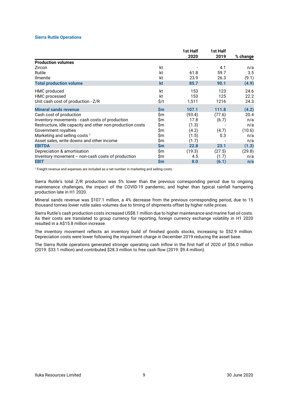### **Sierra Rutile Operations**

|                                                           |               | 1st Half<br>2020 | 1st Half<br>2019 | % change |
|-----------------------------------------------------------|---------------|------------------|------------------|----------|
| <b>Production volumes</b>                                 |               |                  |                  |          |
| Zircon                                                    | kt            |                  | 4.1              | n/a      |
| Rutile                                                    | kt            | 61.8             | 59.7             | 3.5      |
| <b>Ilmenite</b>                                           | kt            | 23.9             | 26.3             | (9.1)    |
| <b>Total production volume</b>                            | kt            | 85.7             | 90.1             | (4.9)    |
| HMC produced                                              | kt            | 153              | 123              | 24.6     |
| HMC processed                                             | kt            | 153              | 125              | 22.2     |
| Unit cash cost of production - Z/R                        | \$/t          | 1,511            | 1216             | 24.3     |
| <b>Mineral sands revenue</b>                              | $\mathsf{Sm}$ | 107.1            | 111.8            | (4.2)    |
| Cash cost of production                                   | \$m           | (93.4)           | (77.6)           | 20.4     |
| Inventory movements - cash costs of production            | Sm            | 17.8             | (6.7)            | n/a      |
| Restructure, idle capacity and other non-production costs | Sm            | (1.3)            |                  | n/a      |
| Government royalties                                      | Sm            | (4.2)            | (4.7)            | (10.6)   |
| Marketing and selling costs <sup>1</sup>                  | Sm            | (1.5)            | 0.3              | n/a      |
| Asset sales, write downs and other income                 | \$m           | (1.7)            |                  | n/a      |
| <b>EBITDA</b>                                             | <b>Sm</b>     | 22.8             | 23.1             | (1.3)    |
| Depreciation & amortisation                               | \$m           | (19.3)           | (27.5)           | (29.8)   |
| Inventory movement $-$ non-cash costs of production       | \$m           | 4.5              | (1.7)            | n/a      |
| <b>EBIT</b>                                               | $\mathsf{Sm}$ | 8.0              | (6.1)            | n/a      |
|                                                           |               |                  |                  |          |

1 Freight revenue and expenses are included as a net number in marketing and selling costs.

Sierra Rutile's total Z/R production was 5% lower than the previous corresponding period due to ongoing maintenance challenges, the impact of the COVID-19 pandemic, and higher than typical rainfall hampering production late in H1 2020.

Mineral sands revenue was \$107.1 million, a 4% decrease from the previous corresponding period, due to 15 thousand tonnes lower rutile sales volumes due to timing of shipments offset by higher rutile prices.

Sierra Rutile's cash production costs increased US\$8.1 million due to higher maintenance and marine fuel oil costs. As their costs are translated to group currency for reporting, foreign currency exchange volatility in H1 2020 resulted in a A\$15.8 million increase.

The inventory movement reflects an inventory build of finished goods stocks, increasing to \$52.9 million. Depreciation costs were lower following the impairment charge in December 2019 reducing the asset base.

The Sierra Rutile operations generated stronger operating cash inflow in the first half of 2020 of \$56.0 million (2019: \$33.1 million) and contributed \$28.3 million to free cash flow (2019: \$9.4 million).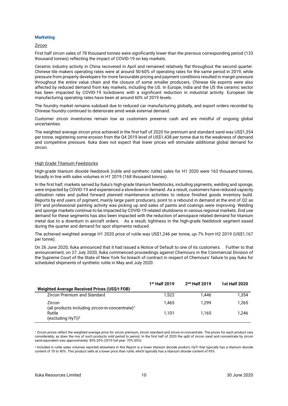### **Marketing**

### **Zircon**

First half zircon sales of 78 thousand tonnes were significantly lower than the previous corresponding period (133 thousand tonnes) reflecting the impact of COVID-19 on key markets.

Ceramic industry activity in China recovered in April and remained relatively flat throughout the second quarter. Chinese tile makers operating rates were at around 50-60% of operating rates for the same period in 2019, while pressure from property developers for more favourable pricing and payment conditions resulted in margin pressure throughout the entire value chain and the closure of some smaller producers. Chinese tile exports were also affected by reduced demand from key markets, including the US. In Europe, India and the US the ceramic sector has been impacted by COVID-19 lockdowns with a significant reduction in industrial activity. European tile manufacturing operating rates have been at around 60% of 2019 levels.

The foundry market remains subdued due to reduced car manufacturing globally, and export orders recorded by Chinese foundry continued to deteriorate amid weak external demand.

Customer zircon inventories remain low as customers preserve cash and are mindful of ongoing global uncertainties.

The weighted average zircon price achieved in the first half of 2020 for premium and standard sand was US\$1,354 per tonne, registering some erosion from the Q4 2019 level of US\$1,438 per tonne due to the weakness of demand and competitive pressure. Iluka does not expect that lower prices will stimulate additional global demand for zircon.

### High Grade Titanium Feedstocks

High-grade titanium dioxide feedstock (rutile and synthetic rutile) sales for H1 2020 were 163 thousand tonnes, broadly in line with sales volumes in H1 2019 (168 thousand tonnes).

In the first half, markets served by Iluka's high-grade titanium feedstocks, including pigments, welding and sponge, were impacted by COVID-19 and experienced a slowdown in demand. As a result, customers have reduced capacity utilisation rates and pulled forward planned maintenance activities to reduce finished goods inventory build. Reports by end users of pigment, mainly large paint producers, point to a rebound in demand at the end of Q2 as DIY and professional painting activity was picking up and sales of paints and coatings were improving. Welding and sponge markets continue to be impacted by COVID-19 related shutdowns in various regional markets. End use demand for these segments has also been impacted with the reduction of aerospace related demand for titanium metal due to a downturn in aircraft orders. As a result, tightness in the high-grade feedstock segment eased during the quarter and demand for spot shipments reduced.

The achieved weighted average H1 2020 price of rutile was US\$1,246 per tonne, up 7% from H2 2019 (US\$1,167 per tonne).

On 26 June 2020, Iluka announced that it had issued a Notice of Default to one of its customers. Further to that announcement, on 27 July 2020, Iluka commenced proceedings against Chemours in the Commercial Division of the Supreme Court of the State of New York for breach of contract in respect of Chemours' failure to pay Iluka for scheduled shipments of synthetic rutile in May and July 2020.

|                                                              | $1st$ Half 2019 | $2nd$ Half 2019 | <b>1st Half 2020</b> |
|--------------------------------------------------------------|-----------------|-----------------|----------------------|
| <b>Weighted Average Received Prices (US\$/t FOB)</b>         |                 |                 |                      |
| <b>Zircon Premium and Standard</b>                           | 1.522           | 1.446           | 1.354                |
| Zircon<br>(all products including zircon-in-concentrate) $1$ | 1.465           | 1.299           | 1.265                |
| Rutile<br>(excluding HyTi) <sup>2</sup>                      | 1.101           | 1.165           | 1.246                |

1 Zircon prices reflect the weighted average price for zircon premium, zircon standard and zircon-in-concentrate. The prices for each product vary considerably, as does the mix of such products sold period to period. In the first half of 2020 the split of zircon sand and concentrate by zircon sand-equivalent was approximately: 80%:20% (2019 full year: 70%:30%).

2 Included in rutile sales volumes reported elsewhere in this Report is a lower titanium dioxide product, HyTi that typically has a titanium dioxide content of 70 to 90%. This product sells at a lower price than rutile, which typically has a titanium dioxide content of 95%.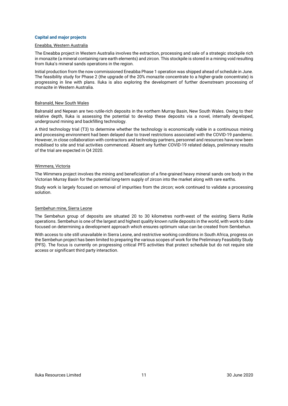### **Capital and major projects**

### Eneabba, Western Australia

The Eneabba project in Western Australia involves the extraction, processing and sale of a strategic stockpile rich in monazite (a mineral containing rare earth elements) and zircon. This stockpile is stored in a mining void resulting from Iluka's mineral sands operations in the region.

Initial production from the now commissioned Eneabba Phase 1 operation was shipped ahead of schedule in June. The feasibility study for Phase 2 (the upgrade of the 20% monazite concentrate to a higher-grade concentrate) is progressing in line with plans. Iluka is also exploring the development of further downstream processing of monazite in Western Australia.

### Balranald, New South Wales

Balranald and Nepean are two rutile-rich deposits in the northern Murray Basin, New South Wales. Owing to their relative depth, Iluka is assessing the potential to develop these deposits via a novel, internally developed, underground mining and backfilling technology.

A third technology trial (T3) to determine whether the technology is economically viable in a continuous mining and processing environment had been delayed due to travel restrictions associated with the COVID-19 pandemic. However, in close collaboration with contractors and technology partners, personnel and resources have now been mobilised to site and trial activities commenced. Absent any further COVID-19 related delays, preliminary results of the trial are expected in Q4 2020.

### Wimmera, Victoria

The Wimmera project involves the mining and beneficiation of a fine-grained heavy mineral sands ore body in the Victorian Murray Basin for the potential long-term supply of zircon into the market along with rare earths.

Study work is largely focused on removal of impurities from the zircon; work continued to validate a processing solution.

### Sembehun mine, Sierra Leone

The Sembehun group of deposits are situated 20 to 30 kilometres north-west of the existing Sierra Rutile operations. Sembehun is one of the largest and highest quality known rutile deposits in the world, with work to date focused on determining a development approach which ensures optimum value can be created from Sembehun.

With access to site still unavailable in Sierra Leone, and restrictive working conditions in South Africa, progress on the Sembehun project has been limited to preparing the various scopes of work for the Preliminary Feasibility Study (PFS). The focus is currently on progressing critical PFS activities that protect schedule but do not require site access or significant third party interaction.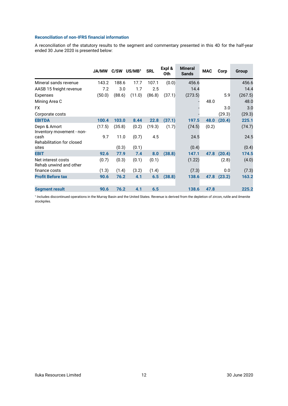### **Reconciliation of non-IFRS financial information**

A reconciliation of the statutory results to the segment and commentary presented in this 4D for the half-year ended 30 June 2020 is presented below:

 $\sim$ 

and the company

**Contractor** 

 $\overline{\phantom{a}}$ 

|                                              | <b>JA/MW</b> | C/SW   | US/MB <sup>1</sup> | <b>SRL</b> | Expl &<br>0th | <b>Mineral</b><br><b>Sands</b> | <b>MAC</b> | Corp   | Group   |
|----------------------------------------------|--------------|--------|--------------------|------------|---------------|--------------------------------|------------|--------|---------|
| Mineral sands revenue                        | 143.2        | 188.6  | 17.7               | 107.1      | (0.0)         | 456.6                          |            |        | 456.6   |
| AASB 15 freight revenue                      | 7.2          | 3.0    | 1.7                | 2.5        |               | 14.4                           |            |        | 14.4    |
| Expenses                                     | (50.0)       | (88.6) | (11.0)             | (86.8)     | (37.1)        | (273.5)                        |            | 5.9    | (267.5) |
| Mining Area C                                |              |        |                    |            |               |                                | 48.0       |        | 48.0    |
| FX.                                          |              |        |                    |            |               |                                |            | 3.0    | 3.0     |
| Corporate costs                              |              |        |                    |            |               |                                |            | (29.3) | (29.3)  |
| <b>EBITDA</b>                                | 100.4        | 103.0  | 8.44               | 22.8       | (37.1)        | 197.5                          | 48.0       | (20.4) | 225.1   |
| Depn & Amort<br>Inventory movement - non-    | (17.5)       | (35.8) | (0.2)              | (19.3)     | (1.7)         | (74.5)                         | (0.2)      |        | (74.7)  |
| cash<br>Rehabilitation for closed            | 9.7          | 11.0   | (0.7)              | 4.5        |               | 24.5                           |            |        | 24.5    |
| sites                                        |              | (0.3)  | (0.1)              |            |               | (0.4)                          |            |        | (0.4)   |
| <b>EBIT</b>                                  | 92.6         | 77.9   | 7.4                | 8.0        | (38.8)        | 147.1                          | 47.8       | (20.4) | 174.5   |
| Net interest costs<br>Rehab unwind and other | (0.7)        | (0.3)  | (0.1)              | (0.1)      |               | (1.22)                         |            | (2.8)  | (4.0)   |
| finance costs                                | (1.3)        | (1.4)  | (3.2)              | (1.4)      |               | (7.3)                          |            | 0.0    | (7.3)   |
| <b>Profit Before tax</b>                     | 90.6         | 76.2   | 4.1                | 6.5        | (38.8)        | 138.6                          | 47.8       | (23.2) | 163.2   |
| <b>Segment result</b>                        | 90.6         | 76.2   | 4.1                | 6.5        |               | 138.6                          | 47.8       |        | 225.2   |

1 Includes discontinued operations in the Murray Basin and the United States. Revenue is derived from the depletion of zircon, rutile and ilmenite stockpiles.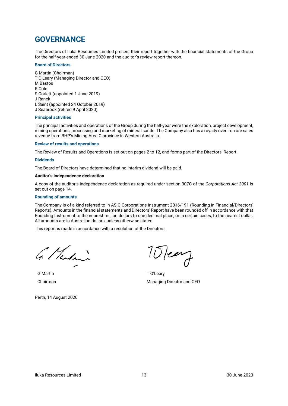## **GOVERNANCE**

The Directors of Iluka Resources Limited present their report together with the financial statements of the Group for the half-year ended 30 June 2020 and the auditor's review report thereon.

### **Board of Directors**

G Martin (Chairman) T O'Leary (Managing Director and CEO) M Bastos R Cole S Corlett (appointed 1 June 2019) J Ranck L Saint (appointed 24 October 2019) J Seabrook (retired 9 April 2020)

### **Principal activities**

The principal activities and operations of the Group during the half-year were the exploration, project development, mining operations, processing and marketing of mineral sands. The Company also has a royalty over iron ore sales revenue from BHP's Mining Area C province in Western Australia.

### **Review of results and operations**

The Review of Results and Operations is set out on pages 2 to 12, and forms part of the Directors' Report.

### **Dividends**

The Board of Directors have determined that no interim dividend will be paid.

### **Auditor's independence declaration**

A copy of the auditor's independence declaration as required under section 307C of the *Corporations Act 2001* is set out on page 14.

### **Rounding of amounts**

The Company is of a kind referred to in ASIC Corporations Instrument 2016/191 (Rounding in Financial/Directors' Reports). Amounts in the financial statements and Directors' Report have been rounded off in accordance with that Rounding Instrument to the nearest million dollars to one decimal place, or in certain cases, to the nearest dollar. All amounts are in Australian dollars, unless otherwise stated.

This report is made in accordance with a resolution of the Directors.

G. Martin

G Martin T O'Leary

Perth, 14 August 2020

10 Team

Chairman Managing Director and CEO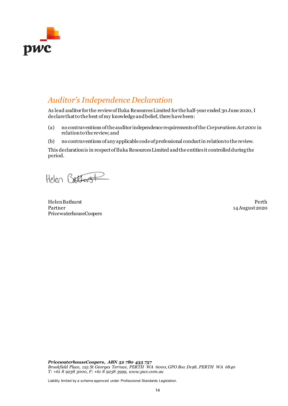

## *Auditor's Independence Declaration*

As lead auditor for the review of Iluka Resources Limited for the half-year ended 30 June 2020, I declare that to the best of my knowledge and belief, there have been:

- (a) no contraventions of the auditor independence requirements of the *Corporations Act 2001* in relation to the review; and
- (b) no contraventions of any applicable code of professional conduct in relation to the review.

This declaration is in respect of Iluka Resources Limited and the entities it controlled during the period.

Helen Battwork

Helen Bathurst Perth Partner PricewaterhouseCoopers

14 August 2020

*PricewaterhouseCoopers, ABN 52 780 433 757 Brookfield Place, 125 St Georges Terrace, PERTH WA 6000, GPO Box D198, PERTH WA 6840 T: +61 8 9238 3000, F: +61 8 9238 3999, www.pwc.com.au*

Liability limited by a scheme approved under Professional Standards Legislation.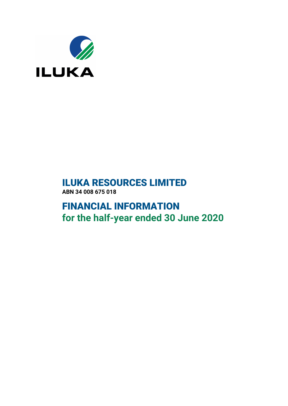

# **ILUKA RESOURCES LIMITED ABN 34 008 675 018**

# **FINANCIAL INFORMATION for the half-year ended 30 June 2020**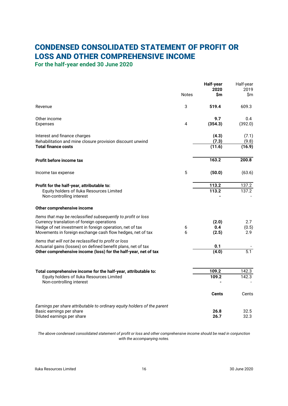# <span id="page-17-1"></span>**CONDENSED CONSOLIDATED STATEMENT OF PROFIT OR LOSS AND OTHER COMPREHENSIVE INCOME**

<span id="page-17-0"></span>**For the half-year ended 30 June 2020**

|                                                                                                                        |              | Half-year<br>2020 | Half-year<br>2019 |
|------------------------------------------------------------------------------------------------------------------------|--------------|-------------------|-------------------|
|                                                                                                                        | <b>Notes</b> | Sm                | \$m               |
| Revenue                                                                                                                | 3            | 519.4             | 609.3             |
| Other income                                                                                                           |              | 9.7               | 0.4               |
| Expenses                                                                                                               | 4            | (354.3)           | (392.0)           |
| Interest and finance charges<br>Rehabilitation and mine closure provision discount unwind                              |              | (4.3)<br>(7.3)    | (7.1)<br>(9.8)    |
| <b>Total finance costs</b>                                                                                             |              | (11.6)            | (16.9)            |
| Profit before income tax                                                                                               |              | 163.2             | 200.8             |
| Income tax expense                                                                                                     | 5            | (50.0)            | (63.6)            |
| Profit for the half-year, attributable to:                                                                             |              | 113.2             | 137.2             |
| Equity holders of Iluka Resources Limited<br>Non-controlling interest                                                  |              | 113.2             | 137.2             |
| Other comprehensive income                                                                                             |              |                   |                   |
| Items that may be reclassified subsequently to profit or loss                                                          |              |                   |                   |
| Currency translation of foreign operations                                                                             |              | (2.0)             | 2.7               |
| Hedge of net investment in foreign operation, net of tax<br>Movements in foreign exchange cash flow hedges, net of tax | 6<br>6       | 0.4<br>(2.5)      | (0.5)<br>2.9      |
| Items that will not be reclassified to profit or loss                                                                  |              |                   |                   |
| Actuarial gains (losses) on defined benefit plans, net of tax                                                          |              | 0.1<br>(4.0)      | $\overline{5.1}$  |
| Other comprehensive income (loss) for the half-year, net of tax                                                        |              |                   |                   |
| Total comprehensive income for the half-year, attributable to:                                                         |              | 109.2             | 142.3             |
| Equity holders of Iluka Resources Limited                                                                              |              | 109.2             | 142.3             |
| Non-controlling interest                                                                                               |              |                   |                   |
|                                                                                                                        |              | <b>Cents</b>      | Cents             |
| Earnings per share attributable to ordinary equity holders of the parent                                               |              |                   |                   |
| Basic earnings per share<br>Diluted earnings per share                                                                 |              | 26.8<br>26.7      | 32.5<br>32.3      |

The above condensed consolidated statement of profit or loss and other comprehensive income should be read in conjunction *with the accompanying notes.*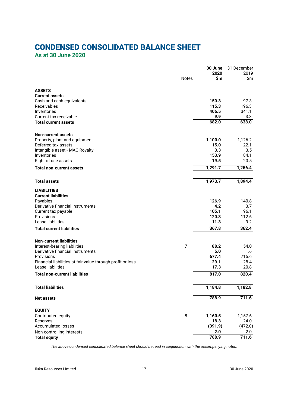# **CONDENSED CONSOLIDATED BALANCE SHEET**

<span id="page-18-0"></span>**As at 30 June 2020**

|                                                            |              | 30 June<br>2020 | 31 December<br>2019 |
|------------------------------------------------------------|--------------|-----------------|---------------------|
|                                                            | <b>Notes</b> | \$m             | \$m                 |
| <b>ASSETS</b>                                              |              |                 |                     |
| <b>Current assets</b>                                      |              |                 |                     |
| Cash and cash equivalents                                  |              | 150.3           | 97.3                |
| Receivables                                                |              | 115.3           | 196.3               |
| Inventories                                                |              | 406.5           | 341.1               |
| Current tax receivable                                     |              | 9.9             | 3.3                 |
| <b>Total current assets</b>                                |              | 682.0           | 638.0               |
| <b>Non-current assets</b>                                  |              |                 |                     |
| Property, plant and equipment                              |              | 1,100.0         | 1,126.2             |
| Deferred tax assets                                        |              | 15.0            | 22.1                |
| Intangible asset - MAC Royalty                             |              | 3.3             | 3.5                 |
| Inventories                                                |              | 153.9           | 84.1                |
| Right of use assets                                        |              | 19.5            | 20.5                |
| <b>Total non-current assets</b>                            |              | 1,291.7         | 1,256.4             |
| <b>Total assets</b>                                        |              |                 |                     |
|                                                            |              | 1,973.7         | 1,894.4             |
| LIABILITIES                                                |              |                 |                     |
| <b>Current liabilities</b>                                 |              |                 |                     |
| Payables                                                   |              | 126.9           | 140.8               |
| Derivative financial instruments                           |              | 4.2             | 3.7                 |
| Current tax payable                                        |              | 105.1           | 96.1                |
| Provisions                                                 |              | 120.3           | 112.6               |
| Lease liabilities                                          |              | 11.3            | 9.2                 |
| <b>Total current liabilities</b>                           |              | 367.8           | 362.4               |
| <b>Non-current liabilities</b>                             |              |                 |                     |
| Interest-bearing liabilities                               | 7            | 88.2            | 54.0                |
| Derivative financial instruments                           |              | 5.0             | 1.6                 |
| Provisions                                                 |              | 677.4           | 715.6               |
| Financial liabilities at fair value through profit or loss |              | 29.1            | 28.4                |
| Lease liabilities                                          |              | 17.3            | 20.8                |
| <b>Total non-current liabilities</b>                       |              | 817.0           | 820.4               |
| <b>Total liabilities</b>                                   |              | 1,184.8         | 1,182.8             |
|                                                            |              |                 |                     |
| <b>Net assets</b>                                          |              | 788.9           | 711.6               |
| <b>EQUITY</b>                                              |              |                 |                     |
| Contributed equity                                         | 8            | 1,160.5         | 1,157.6             |
| Reserves                                                   |              | 18.3            | 24.0                |
| <b>Accumulated losses</b>                                  |              | (391.9)         | (472.0)             |
| Non-controlling interests                                  |              | 2.0             | 2.0                 |
| <b>Total equity</b>                                        |              | 788.9           | 711.6               |

*The above condensed consolidated balance sheet should be read in conjunction with the accompanying notes.*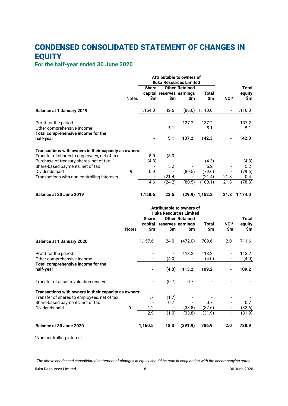# **CONDENSED CONSOLIDATED STATEMENT OF CHANGES IN EQUITY**

## <span id="page-19-0"></span>**For the half-year ended 30 June 2020**

|                                                       |              | Attributable to owners of<br><b>Iluka Resources Limited</b> |                          |                           |                |                          |              |
|-------------------------------------------------------|--------------|-------------------------------------------------------------|--------------------------|---------------------------|----------------|--------------------------|--------------|
|                                                       |              | Share                                                       |                          | <b>Other Retained</b>     |                |                          | <b>Total</b> |
|                                                       |              |                                                             |                          | capital reserves earnings | Total          |                          | equity       |
|                                                       | <b>Notes</b> | \$m                                                         | \$m                      | \$m                       | \$m            | NCI <sup>1</sup>         | \$m          |
| <b>Balance at 1 January 2019</b>                      |              | 1,154.0                                                     | 42.6                     | (86.6)                    | 1,110.0        | $\overline{\phantom{a}}$ | 1,110.0      |
| Profit for the period                                 |              |                                                             | $\overline{a}$           | 137.2                     | 137.2          |                          | 137.2        |
| Other comprehensive income                            |              |                                                             | 5.1                      |                           | 5.1            |                          | 5.1          |
| Total comprehensive income for the<br>half-year       |              |                                                             | 5.1                      | 137.2                     | 142.3          |                          | 142.3        |
| Transactions with owners in their capacity as owners: |              |                                                             |                          |                           |                |                          |              |
| Transfer of shares to employees, net of tax           |              | 8.0                                                         | (8.0)                    |                           |                |                          |              |
| Purchase of treasury shares, net of tax               |              | (4.3)                                                       | $\overline{\phantom{a}}$ |                           | (4.3)          |                          | (4.3)        |
| Share-based payments, net of tax                      |              |                                                             | 5.2                      |                           | 5.2            |                          | 5.2          |
| Dividends paid                                        | 9            | 0.9                                                         |                          | (80.5)                    | (79.6)         |                          | (79.6)       |
| Transactions with non-controlling interests           |              |                                                             | (21.4)                   |                           | (21.4)         | 21.8                     | 0.4          |
|                                                       |              | 4.6                                                         | (24.2)                   | (80.5)                    | (100.1)        | 21.8                     | (78.3)       |
| Balance at 30 June 2019                               |              | 1,158.6                                                     | 23.5                     |                           | (29.9) 1,152.2 | 21.8                     | 1,174.0      |
|                                                       |              | Attributable to owners of<br><b>Iluka Resources Limited</b> |                          |                           |                |                          |              |
|                                                       |              | <b>Share</b>                                                |                          | <b>Other Retained</b>     |                |                          | <b>Total</b> |
|                                                       |              | capital                                                     |                          | reserves earnings         | Total          | NCI <sup>1</sup>         | equity       |
|                                                       | <b>Notes</b> | \$m                                                         | \$m                      | Sm                        | \$m            | \$m                      | \$m          |
| <b>Balance at 1 January 2020</b>                      |              | 1,157.6                                                     | 24.0                     | (472.0)                   | 709.6          | 2.0                      | 711.6        |
| Profit for the period                                 |              |                                                             |                          | 113.2                     | 113.2          |                          | 113.2        |
| Other comprehensive income                            |              |                                                             | (4.0)                    |                           | (4.0)          |                          | (4.0)        |
| Total comprehensive income for the<br>half-year       |              |                                                             | (4.0)                    | 113.2                     | 109.2          | ۰                        | 109.2        |
|                                                       |              |                                                             |                          |                           |                |                          |              |
| Transfer of asset revaluation reserve                 |              |                                                             | (0.7)                    | 0.7                       |                |                          |              |
| Transactions with owners in their capacity as owners: |              |                                                             |                          |                           |                |                          |              |
| Transfer of shares to employees, net of tax           |              | 1.7                                                         | (1.7)                    |                           |                |                          |              |
| Share-based payments, net of tax                      |              |                                                             | 0.7                      |                           | 0.7            |                          | 0.7          |

| Balance at 30 June 2020 |   | 1.160.5 | 18.3                     | (391.9) | 786.9  | 2.0                      | 788.9  |
|-------------------------|---|---------|--------------------------|---------|--------|--------------------------|--------|
|                         |   |         |                          | (33.8)  | (31.9) | $\overline{\phantom{0}}$ | (31.9) |
| Dividends paid          | u |         | $\overline{\phantom{0}}$ | (33.8)  | (32.6) | $\overline{\phantom{0}}$ | (32.6) |

<sup>1</sup>Non-controlling interest

The above condensed consolidated statement of changes in equity should be read in conjunction with the accompanying notes.

Iluka Resources Limited 18 30 June 2020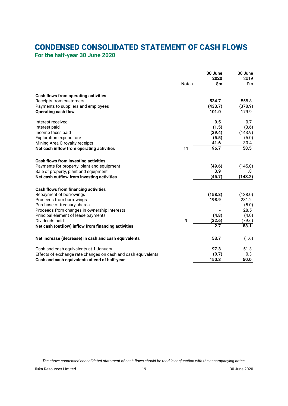## **CONDENSED CONSOLIDATED STATEMENT OF CASH FLOWS**

<span id="page-20-0"></span>**For the half-year 30 June 2020**

|                                                               |              | 30 June<br>2020 | 30 June<br>2019 |
|---------------------------------------------------------------|--------------|-----------------|-----------------|
|                                                               | <b>Notes</b> | \$m             | \$m             |
| Cash flows from operating activities                          |              |                 |                 |
| Receipts from customers                                       |              | 534.7           | 558.8           |
| Payments to suppliers and employees                           |              | (433.7)         | (378.9)         |
| <b>Operating cash flow</b>                                    |              | 101.0           | 179.9           |
| Interest received                                             |              | 0.5             | 0.7             |
| Interest paid                                                 |              | (1.5)           | (3.6)           |
| Income taxes paid                                             |              | (39.4)          | (143.9)         |
| <b>Exploration expenditure</b>                                |              | (5.5)           | (5.0)           |
| Mining Area C royalty receipts                                |              | 41.6            | 30.4            |
| Net cash inflow from operating activities                     | 11           | 96.7            | 58.5            |
| <b>Cash flows from investing activities</b>                   |              |                 |                 |
| Payments for property, plant and equipment                    |              | (49.6)          | (145.0)         |
| Sale of property, plant and equipment                         |              | 3.9             | 1.8             |
| Net cash outflow from investing activities                    |              | (45.7)          | (143.2)         |
| <b>Cash flows from financing activities</b>                   |              |                 |                 |
| Repayment of borrowings                                       |              | (158.8)         | (138.0)         |
| Proceeds from borrowings                                      |              | 198.9           | 281.2           |
| Purchase of treasury shares                                   |              |                 | (5.0)           |
| Proceeds from changes in ownership interests                  |              |                 | 28.5            |
| Principal element of lease payments                           |              | (4.8)           | (4.0)           |
| Dividends paid                                                | 9            | (32.6)          | (79.6)          |
| Net cash (outflow) inflow from financing activities           |              | 2.7             | 83.1            |
| Net increase (decrease) in cash and cash equivalents          |              | 53.7            | (1.6)           |
| Cash and cash equivalents at 1 January                        |              | 97.3            | 51.3            |
| Effects of exchange rate changes on cash and cash equivalents |              | (0.7)           | 0.3             |
| Cash and cash equivalents at end of half-year                 |              | 150.3           | 50.0            |

The above condensed consolidated statement of cash flows should be read in conjunction with the accompanying notes.

Iluka Resources Limited 19 30 June 2020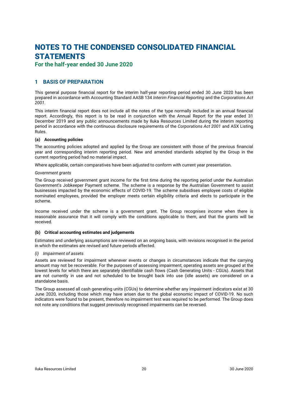## <span id="page-21-0"></span>**For the half-year ended 30 June 2020**

## **1 BASIS OF PREPARATION**

This general purpose financial report for the interim half-year reporting period ended 30 June 2020 has been prepared in accordance with Accounting Standard AASB 134 *Interim Financial Reporting* and the *Corporations Act 2001*.

This interim financial report does not include all the notes of the type normally included in an annual financial report. Accordingly, this report is to be read in conjunction with the Annual Report for the year ended 31 December 2019 and any public announcements made by Iluka Resources Limited during the interim reporting period in accordance with the continuous disclosure requirements of the *Corporations Act 2001* and ASX Listing Rules.

### **(a) Accounting policies**

The accounting policies adopted and applied by the Group are consistent with those of the previous financial year and corresponding interim reporting period. New and amended standards adopted by the Group in the current reporting period had no material impact.

Where applicable, certain comparatives have been adjusted to conform with current year presentation.

### *Government grants*

The Group received government grant income for the first time during the reporting period under the Australian Government's Jobkeeper Payment scheme. The scheme is a response by the Australian Government to assist businesses impacted by the economic effects of COVID-19. The scheme subsidises employee costs of eligible nominated employees, provided the employer meets certain eligibility criteria and elects to participate in the scheme.

Income received under the scheme is a government grant. The Group recognises income when there is reasonable assurance that it will comply with the conditions applicable to them, and that the grants will be received.

### **(b) Critical accounting estimates and judgements**

Estimates and underlying assumptions are reviewed on an ongoing basis, with revisions recognised in the period in which the estimates are revised and future periods affected.

### *(i) Impairment of assets*

Assets are reviewed for impairment whenever events or changes in circumstances indicate that the carrying amount may not be recoverable. For the purposes of assessing impairment, operating assets are grouped at the lowest levels for which there are separately identifiable cash flows (Cash Generating Units - CGUs). Assets that are not currently in use and not scheduled to be brought back into use (idle assets) are considered on a standalone basis.

The Group assessed all cash generating units (CGUs) to determine whether any impairment indicators exist at 30 June 2020, including those which may have arisen due to the global economic impact of COVID-19. No such indicators were found to be present, therefore no impairment test was required to be performed. The Group does not note any conditions that suggest previously recognised impairments can be reversed.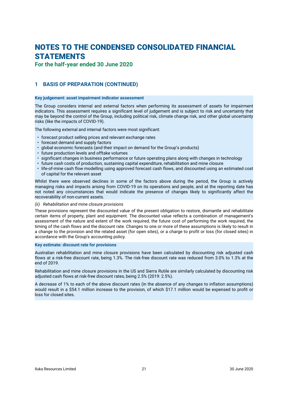**For the half-year ended 30 June 2020**

## **1 BASIS OF PREPARATION (CONTINUED)**

### **Key judgement: asset impairment indicator assessment**

The Group considers internal and external factors when performing its assessment of assets for impairment indicators. This assessment requires a significant level of judgement and is subject to risk and uncertainty that may be beyond the control of the Group, including political risk, climate change risk, and other global uncertainty risks (like the impacts of COVID-19).

The following external and internal factors were most significant:

- forecast product selling prices and relevant exchange rates
- forecast demand and supply factors
- global economic forecasts (and their impact on demand for the Group's products)
- future production levels and offtake volumes
- significant changes in business performance or future operating plans along with changes in technology
- future cash costs of production, sustaining capital expenditure, rehabilitation and mine closure
- life-of-mine cash flow modelling using approved forecast cash flows, and discounted using an estimated cost of capital for the relevant asset

Whilst there were observed declines in some of the factors above during the period, the Group is actively managing risks and impacts arising from COVID-19 on its operations and people, and at the reporting date has not noted any circumstances that would indicate the presence of changes likely to significantly affect the recoverability of non-current assets.

#### *(ii) Rehabilitation and mine closure provisions*

These provisions represent the discounted value of the present obligation to restore, dismantle and rehabilitate certain items of property, plant and equipment. The discounted value reflects a combination of management's assessment of the nature and extent of the work required, the future cost of performing the work required, the timing of the cash flows and the discount rate. Changes to one or more of these assumptions is likely to result in a change to the provision and the related asset (for open sites), or a charge to profit or loss (for closed sites) in accordance with the Group's accounting policy.

### **Key estimate: discount rate for provisions**

Australian rehabilitation and mine closure provisions have been calculated by discounting risk adjusted cash flows at a risk-free discount rate, being 1.3%. The risk-free discount rate was reduced from 3.0% to 1.3% at the end of 2019.

Rehabilitation and mine closure provisions in the US and Sierra Rutile are similarly calculated by discounting risk adjusted cash flows at risk-free discount rates, being 2.5% (2019: 2.5%).

A decrease of 1% to each of the above discount rates (in the absence of any changes to inflation assumptions) would result in a \$54.1 million increase to the provision, of which \$17.1 million would be expensed to profit or loss for closed sites.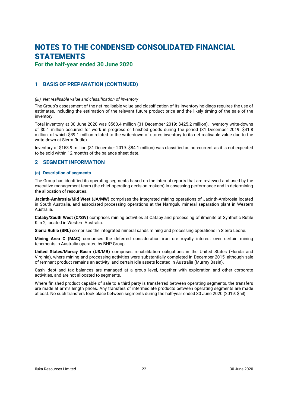**For the half-year ended 30 June 2020**

## **1 BASIS OF PREPARATION (CONTINUED)**

### *(iii) Net realisable value and classification of inventory*

The Group's assessment of the net realisable value and classification of its inventory holdings requires the use of estimates, including the estimation of the relevant future product price and the likely timing of the sale of the inventory.

Total inventory at 30 June 2020 was \$560.4 million (31 December 2019: \$425.2 million). Inventory write-downs of \$0.1 million occurred for work in progress or finished goods during the period (31 December 2019: \$41.8 million, of which \$39.1 million related to the write-down of stores inventory to its net realisable value due to the write-down at Sierra Rutile).

Inventory of \$153.9 million (31 December 2019: \$84.1 million) was classified as non-current as it is not expected to be sold within 12 months of the balance sheet date.

### **2 SEGMENT INFORMATION**

### **(a) Description of segments**

The Group has identified its operating segments based on the internal reports that are reviewed and used by the executive management team (the chief operating decision-makers) in assessing performance and in determining the allocation of resources.

**Jacinth-Ambrosia/Mid West (JA/MW)** comprises the integrated mining operations of Jacinth-Ambrosia located in South Australia, and associated processing operations at the Narngulu mineral separation plant in Western Australia.

**Cataby/South West (C/SW)** comprises mining activities at Cataby and processing of ilmenite at Synthetic Rutile Kiln 2, located in Western Australia.

**Sierra Rutile (SRL)** comprises the integrated mineral sands mining and processing operations in Sierra Leone.

**Mining Area C (MAC)** comprises the deferred consideration iron ore royalty interest over certain mining tenements in Australia operated by BHP Group.

**United States/Murray Basin (US/MB)** comprises rehabilitation obligations in the United States (Florida and Virginia), where mining and processing activities were substantially completed in December 2015, although sale of remnant product remains an activity; and certain idle assets located in Australia (Murray Basin).

Cash, debt and tax balances are managed at a group level, together with exploration and other corporate activities, and are not allocated to segments.

Where finished product capable of sale to a third party is transferred between operating segments, the transfers are made at arm's length prices. Any transfers of intermediate products between operating segments are made at cost. No such transfers took place between segments during the half-year ended 30 June 2020 (2019: \$nil).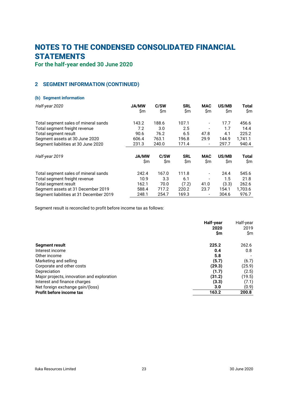**For the half-year ended 30 June 2020**

## **2 SEGMENT INFORMATION (CONTINUED)**

### **(b) Segment information**

| Half-year 2020                          | <b>JA/MW</b> | C/SW  | <b>SRL</b> | <b>MAC</b>                   | US/MB | <b>Total</b> |
|-----------------------------------------|--------------|-------|------------|------------------------------|-------|--------------|
|                                         | \$m          | \$m   | \$m        | \$m                          | \$m   | \$m          |
| Total segment sales of mineral sands    | 143.2        | 188.6 | 107.1      | $\overline{\phantom{a}}$     | 17.7  | 456.6        |
| Total segment freight revenue           | 7.2          | 3.0   | 2.5        | $\overline{\phantom{a}}$     | 1.7   | 14.4         |
| Total segment result                    | 90.6         | 76.2  | 6.5        | 47.8                         | 4.1   | 225.2        |
| Segment assets at 30 June 2020          | 606.4        | 763.1 | 196.8      | 29.9                         | 144.9 | 1.741.1      |
| Segment liabilities at 30 June 2020     | 231.3        | 240.0 | 171.4      | $\overline{\phantom{a}}$     | 297.7 | 940.4        |
| Half-year 2019                          | <b>JA/MW</b> | C/SW  | <b>SRL</b> | MAC                          | US/MB | Total        |
|                                         | \$m          | \$m   | \$m        | \$m                          | \$m   | \$m          |
| Total segment sales of mineral sands    | 242.4        | 167.0 | 111.8      | $\qquad \qquad \blacksquare$ | 24.4  | 545.6        |
| Total segment freight revenue           | 10.9         | 3.3   | 6.1        | $\overline{\phantom{a}}$     | 1.5   | 21.8         |
| Total segment result                    | 162.1        | 70.0  | (7.2)      | 41.0                         | (3.3) | 262.6        |
| Segment assets at 31 December 2019      | 588.4        | 717.2 | 220.2      | 23.7                         | 154.1 | 1,703.6      |
| Segment liabilities at 31 December 2019 | 248.1        | 254.7 | 169.3      |                              | 304.6 | 976.7        |

Segment result is reconciled to profit before income tax as follows:

|                                            | Half-year<br>2020 | Half-year<br>2019 |
|--------------------------------------------|-------------------|-------------------|
|                                            | \$m               | \$m               |
| Segment result                             | 225.2             | 262.6             |
| Interest income                            | 0.4               | 0.8               |
| Other income                               | 5.8               |                   |
| Marketing and selling                      | (5.7)             | (6.7)             |
| Corporate and other costs                  | (29.3)            | (25.9)            |
| Depreciation                               | (1.7)             | (2.5)             |
| Major projects, innovation and exploration | (31.2)            | (19.5)            |
| Interest and finance charges               | (3.3)             | (7.1)             |
| Net foreign exchange gain/(loss)           | 3.0               | (0.9)             |
| Profit before income tax                   | 163.2             | 200.8             |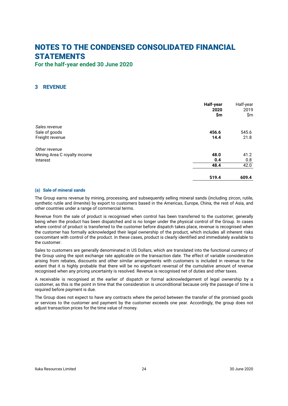<span id="page-25-0"></span>**For the half-year ended 30 June 2020**

## **3 REVENUE**

|                              | Half-year<br>2020<br>\$m\$ | Half-year<br>2019<br>\$m |
|------------------------------|----------------------------|--------------------------|
| Sales revenue                |                            |                          |
| Sale of goods                | 456.6                      | 545.6                    |
| Freight revenue              | 14.4                       | 21.8                     |
| Other revenue                |                            |                          |
| Mining Area C royalty income | 48.0                       | 41.2                     |
| Interest                     | 0.4                        | 0.8                      |
|                              | 48.4                       | 42.0                     |
|                              | 519.4                      | 609.4                    |

### **(a) Sale of mineral sands**

The Group earns revenue by mining, processing, and subsequently selling mineral sands (including zircon, rutile, synthetic rutile and ilmenite) by export to customers based in the Americas, Europe, China, the rest of Asia, and other countries under a range of commercial terms.

Revenue from the sale of product is recognised when control has been transferred to the customer, generally being when the product has been dispatched and is no longer under the physical control of the Group. In cases where control of product is transferred to the customer before dispatch takes place, revenue is recognised when the customer has formally acknowledged their legal ownership of the product, which includes all inherent risks concomitant with control of the product. In these cases, product is clearly identified and immediately available to the customer.

Sales to customers are generally denominated in US Dollars, which are translated into the functional currency of the Group using the spot exchange rate applicable on the transaction date. The effect of variable consideration arising from rebates, discounts and other similar arrangements with customers is included in revenue to the extent that it is highly probable that there will be no significant reversal of the cumulative amount of revenue recognised when any pricing uncertainty is resolved. Revenue is recognised net of duties and other taxes.

A receivable is recognised at the earlier of dispatch or formal acknowledgement of legal ownership by a customer, as this is the point in time that the consideration is unconditional because only the passage of time is required before payment is due.

The Group does not expect to have any contracts where the period between the transfer of the promised goods or services to the customer and payment by the customer exceeds one year. Accordingly, the group does not adjust transaction prices for the time value of money.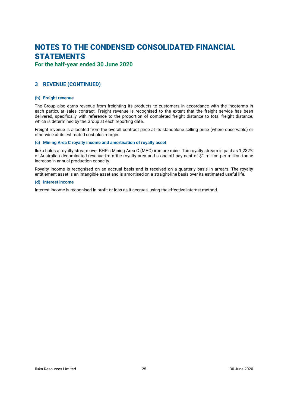**For the half-year ended 30 June 2020**

## **3 REVENUE (CONTINUED)**

### **(b) Freight revenue**

The Group also earns revenue from freighting its products to customers in accordance with the incoterms in each particular sales contract. Freight revenue is recognised to the extent that the freight service has been delivered, specifically with reference to the proportion of completed freight distance to total freight distance, which is determined by the Group at each reporting date.

Freight revenue is allocated from the overall contract price at its standalone selling price (where observable) or otherwise at its estimated cost plus margin.

### **(c) Mining Area C royalty income and amortisation of royalty asset**

Iluka holds a royalty stream over BHP's Mining Area C (MAC) iron ore mine. The royalty stream is paid as 1.232% of Australian denominated revenue from the royalty area and a one-off payment of \$1 million per million tonne increase in annual production capacity.

Royalty income is recognised on an accrual basis and is received on a quarterly basis in arrears. The royalty entitlement asset is an intangible asset and is amortised on a straight-line basis over its estimated useful life.

#### **(d) Interest income**

Interest income is recognised in profit or loss as it accrues, using the effective interest method.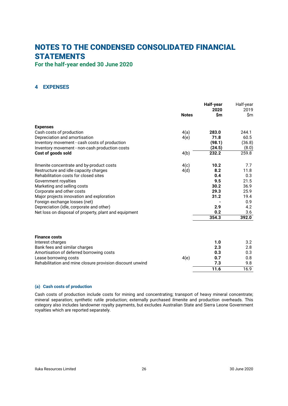<span id="page-27-0"></span>**For the half-year ended 30 June 2020**

## **4 EXPENSES**

|                                                           | <b>Notes</b> | Half-year<br>2020<br>\$m | Half-year<br>2019<br>\$m |
|-----------------------------------------------------------|--------------|--------------------------|--------------------------|
| <b>Expenses</b>                                           |              |                          |                          |
| Cash costs of production                                  | 4(a)         | 283.0                    | 244.1                    |
| Depreciation and amortisation                             | 4(e)         | 71.8                     | 60.5                     |
| Inventory movement - cash costs of production             |              | (98.1)                   | (36.8)                   |
| Inventory movement - non-cash production costs            |              | (24.5)                   | (8.0)                    |
| Cost of goods sold                                        | 4(b)         | 232.2                    | 259.8                    |
| Ilmenite concentrate and by-product costs                 | 4(c)         | 10.2                     | 7.7                      |
| Restructure and idle capacity charges                     | 4(d)         | 8.2                      | 11.8                     |
| Rehabilitation costs for closed sites                     |              | 0.4                      | 0.3                      |
| Government royalties                                      |              | 9.5                      | 21.5                     |
| Marketing and selling costs                               |              | 30.2                     | 36.9                     |
| Corporate and other costs                                 |              | 29.3                     | 25.9                     |
| Major projects innovation and exploration                 |              | 31.2                     | 19.4                     |
| Foreign exchange losses (net)                             |              |                          | 0.9                      |
| Depreciation (idle, corporate and other)                  |              | 2.9                      | 4.2                      |
| Net loss on disposal of property, plant and equipment     |              | 0.2                      | 3.6                      |
|                                                           |              | 354.3                    | 392.0                    |
| <b>Finance costs</b>                                      |              |                          |                          |
| Interest charges                                          |              | 1.0                      | 3.2                      |
| Bank fees and similar charges                             |              | 2.3                      | 2.8                      |
| Amortisation of deferred borrowing costs                  |              | 0.3                      | 0.3                      |
| Lease borrowing costs                                     | 4(e)         | 0.7                      | 0.8                      |
| Rehabilitation and mine closure provision discount unwind |              | 7.3                      | 9.8                      |
|                                                           |              | 11.6                     | 16.9                     |

### <span id="page-27-1"></span>**(a) Cash costs of production**

Cash costs of production include costs for mining and concentrating; transport of heavy mineral concentrate; mineral separation; synthetic rutile production; externally purchased ilmenite and production overheads. This category also includes landowner royalty payments, but excludes Australian State and Sierra Leone Government royalties which are reported separately.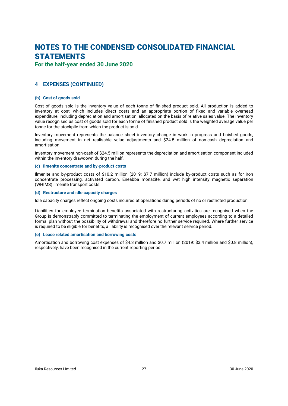**For the half-year ended 30 June 2020**

## <span id="page-28-1"></span>**4 EXPENSES (CONTINUED)**

### **(b) Cost of goods sold**

Cost of goods sold is the inventory value of each tonne of finished product sold. All production is added to inventory at cost, which includes direct costs and an appropriate portion of fixed and variable overhead expenditure, including depreciation and amortisation, allocated on the basis of relative sales value. The inventory value recognised as cost of goods sold for each tonne of finished product sold is the weighted average value per tonne for the stockpile from which the product is sold.

Inventory movement represents the balance sheet inventory change in work in progress and finished goods, including movement in net realisable value adjustments and \$24.5 million of non-cash depreciation and amortisation.

<span id="page-28-2"></span>Inventory movement non-cash of \$24.5 million represents the depreciation and amortisation component included within the inventory drawdown during the half.

### **(c) Ilmenite concentrate and by-product costs**

Ilmenite and by-product costs of \$10.2 million (2019: \$7.7 million) include by-product costs such as for iron concentrate processing, activated carbon, Eneabba monazite, and wet high intensity magnetic separation (WHIMS) ilmenite transport costs.

### <span id="page-28-3"></span>**(d) Restructure and idle capacity charges**

Idle capacity charges reflect ongoing costs incurred at operations during periods of no or restricted production.

Liabilities for employee termination benefits associated with restructuring activities are recognised when the Group is demonstrably committed to terminating the employment of current employees according to a detailed formal plan without the possibility of withdrawal and therefore no further service required. Where further service is required to be eligible for benefits, a liability is recognised over the relevant service period.

### <span id="page-28-0"></span>**(e) Lease related amortisation and borrowing costs**

Amortisation and borrowing cost expenses of \$4.3 million and \$0.7 million (2019: \$3.4 million and \$0.8 million), respectively, have been recognised in the current reporting period.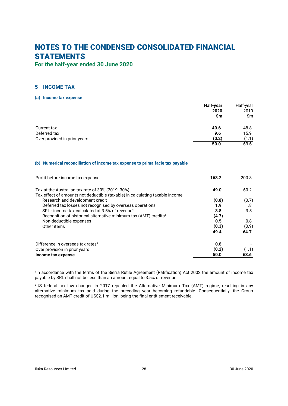<span id="page-29-0"></span>**For the half-year ended 30 June 2020**

## **5 INCOME TAX**

### **(a) Income tax expense**

|                              | Half-year<br>2020<br>\$m | Half-year<br>2019<br>\$m |
|------------------------------|--------------------------|--------------------------|
| Current tax                  | 40.6                     | 48.8                     |
| Deferred tax                 | 9.6                      | 15.9                     |
| Over provided in prior years | (0.2)                    | (1.1)                    |
|                              | 50.0                     | 63.6                     |

### **(b) Numerical reconciliation of income tax expense to prima facie tax payable**

| Profit before income tax expense                                                                                                   | 163.2 | 200.8 |
|------------------------------------------------------------------------------------------------------------------------------------|-------|-------|
| Tax at the Australian tax rate of 30% (2019: 30%)<br>Tax effect of amounts not deductible (taxable) in calculating taxable income: | 49.0  | 60.2  |
| Research and development credit                                                                                                    | (0.8) | (0.7) |
| Deferred tax losses not recognised by overseas operations                                                                          | 1.9   | 1.8   |
| SRL - income tax calculated at 3.5% of revenue <sup>1</sup>                                                                        | 3.8   | 3.5   |
| Recognition of historical alternative minimum tax (AMT) credits <sup>2</sup>                                                       | (4.7) |       |
| Non-deductible expenses                                                                                                            | 0.5   | 0.8   |
| Other items                                                                                                                        | (0.3) | (0.9) |
|                                                                                                                                    | 49.4  | 64.7  |
| Difference in overseas tax rates <sup>1</sup>                                                                                      | 0.8   |       |
| Over provision in prior years                                                                                                      | (0.2) | (1.1) |
| Income tax expense                                                                                                                 | 50.0  | 63.6  |

<sup>1</sup>In accordance with the terms of the Sierra Rutile Agreement (Ratification) Act 2002 the amount of income tax payable by SRL shall not be less than an amount equal to 3.5% of revenue.

²US federal tax law changes in 2017 repealed the Alternative Minimum Tax (AMT) regime, resulting in any alternative minimum tax paid during the preceding year becoming refundable. Consequentially, the Group recognised an AMT credit of US\$2.1 million, being the final entitlement receivable.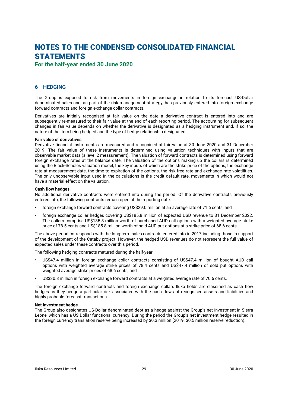## <span id="page-30-0"></span>**For the half-year ended 30 June 2020**

## **6 HEDGING**

The Group is exposed to risk from movements in foreign exchange in relation to its forecast US-Dollar denominated sales and, as part of the risk management strategy, has previously entered into foreign exchange forward contracts and foreign exchange collar contracts.

Derivatives are initially recognised at fair value on the date a derivative contract is entered into and are subsequently re-measured to their fair value at the end of each reporting period. The accounting for subsequent changes in fair value depends on whether the derivative is designated as a hedging instrument and, if so, the nature of the item being hedged and the type of hedge relationship designated.

### **Fair value of derivatives**

Derivative financial instruments are measured and recognised at fair value at 30 June 2020 and 31 December 2019. The fair value of these instruments is determined using valuation techniques with inputs that are observable market data (a level 2 measurement). The valuation of forward contracts is determined using forward foreign exchange rates at the balance date. The valuation of the options making up the collars is determined using the Black-Scholes valuation model, the key inputs of which are the strike price of the options, the exchange rate at measurement date, the time to expiration of the options, the risk-free rate and exchange rate volatilities. The only unobservable input used in the calculations is the credit default rate, movements in which would not have a material effect on the valuation.

### **Cash flow hedges**

No additional derivative contracts were entered into during the period. Of the derivative contracts previously entered into, the following contracts remain open at the reporting date:

- foreign exchange forward contracts covering US\$29.0 million at an average rate of 71.6 cents; and
- foreign exchange collar hedges covering US\$185.8 million of expected USD revenue to 31 December 2022. The collars comprise US\$185.8 million worth of purchased AUD call options with a weighted average strike price of 78.5 cents and US\$185.8 million worth of sold AUD put options at a strike price of 68.6 cents.

The above period corresponds with the long-term sales contracts entered into in 2017 including those in support of the development of the Cataby project. However, the hedged USD revenues do not represent the full value of expected sales under these contracts over this period.

The following hedging contracts matured during the half-year:

- US\$47.4 million in foreign exchange collar contracts consisting of US\$47.4 million of bought AUD call options with weighted average strike prices of 78.4 cents and US\$47.4 million of sold put options with weighted average strike prices of 68.6 cents; and
- US\$30.8 million in foreign exchange forward contracts at a weighted average rate of 70.6 cents.

The foreign exchange forward contracts and foreign exchange collars Iluka holds are classified as cash flow hedges as they hedge a particular risk associated with the cash flows of recognised assets and liabilities and highly probable forecast transactions.

### **Net investment hedge**

The Group also designates US-Dollar denominated debt as a hedge against the Group's net investment in Sierra Leone, which has a US Dollar functional currency. During the period the Group's net investment hedge resulted in the foreign currency translation reserve being increased by \$0.3 million (2019: \$0.5 million reserve reduction).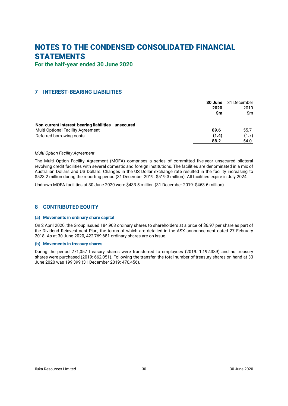<span id="page-31-0"></span>**For the half-year ended 30 June 2020**

### **7 INTEREST-BEARING LIABILITIES**

|                                                      | 30 June | 31 December |
|------------------------------------------------------|---------|-------------|
|                                                      | 2020    | 2019        |
|                                                      | Sm      | Sm          |
| Non-current interest-bearing liabilities - unsecured |         |             |
| <b>Multi Optional Facility Agreement</b>             | 89.6    | 55.7        |
| Deferred borrowing costs                             | (1.4)   | (1.7)       |
|                                                      | 88.2    | 54.0        |

### *Multi Option Facility Agreement*

The Multi Option Facility Agreement (MOFA) comprises a series of committed five-year unsecured bilateral revolving credit facilities with several domestic and foreign institutions. The facilities are denominated in a mix of Australian Dollars and US Dollars. Changes in the US Dollar exchange rate resulted in the facility increasing to \$523.2 million during the reporting period (31 December 2019: \$519.3 million). All facilities expire in July 2024.

<span id="page-31-1"></span>Undrawn MOFA facilities at 30 June 2020 were \$433.5 million (31 December 2019: \$463.6 million).

### **8 CONTRIBUTED EQUITY**

#### **(a) Movements in ordinary share capital**

On 2 April 2020, the Group issued 184,903 ordinary shares to shareholders at a price of \$6.97 per share as part of the Dividend Reinvestment Plan, the terms of which are detailed in the ASX announcement dated 27 February 2018. As at 30 June 2020, 422,769,681 ordinary shares are on issue.

### **(b) Movements in treasury shares**

During the period 271,057 treasury shares were transferred to employees (2019: 1,192,389) and no treasury shares were purchased (2019: 662,051). Following the transfer, the total number of treasury shares on hand at 30 June 2020 was 199,399 (31 December 2019: 470,456).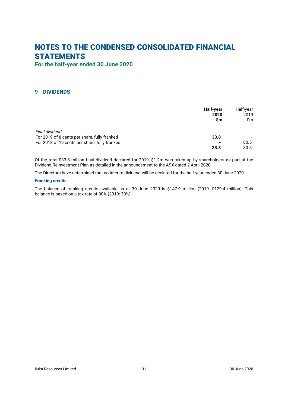<span id="page-32-0"></span>**For the half-year ended 30 June 2020**

## **9 DIVIDENDS**

|                                               | Half-year<br>2020<br><b>Sm</b> | Half-year<br>2019<br>\$m |
|-----------------------------------------------|--------------------------------|--------------------------|
| Final dividend                                |                                |                          |
| For 2019 of 8 cents per share, fully franked  | 33.8                           |                          |
| For 2018 of 19 cents per share, fully franked |                                | 80.5                     |
|                                               | 33.8                           | 80.5                     |

Of the total \$33.8 million final dividend declared for 2019, \$1.2m was taken up by shareholders as part of the Dividend Reinvestment Plan as detailed in the announcement to the ASX dated 2 April 2020.

The Directors have determined that no interim dividend will be declared for the half-year ended 30 June 2020.

### **Franking credits**

The balance of franking credits available as at 30 June 2020 is \$147.9 million (2019: \$129.4 million). This balance is based on a tax rate of 30% (2019: 30%).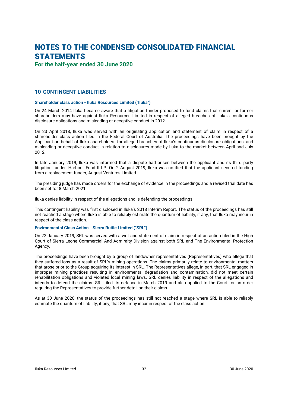**For the half-year ended 30 June 2020**

### **10 CONTINGENT LIABILITIES**

#### **Shareholder class action - Iluka Resources Limited ("Iluka")**

On 24 March 2014 Iluka became aware that a litigation funder proposed to fund claims that current or former shareholders may have against Iluka Resources Limited in respect of alleged breaches of Iluka's continuous disclosure obligations and misleading or deceptive conduct in 2012.

On 23 April 2018, Iluka was served with an originating application and statement of claim in respect of a shareholder class action filed in the Federal Court of Australia. The proceedings have been brought by the Applicant on behalf of Iluka shareholders for alleged breaches of Iluka's continuous disclosure obligations, and misleading or deceptive conduct in relation to disclosures made by Iluka to the market between April and July 2012.

In late January 2019, Iluka was informed that a dispute had arisen between the applicant and its third party litigation funder, Harbour Fund II LP. On 2 August 2019, Iluka was notified that the applicant secured funding from a replacement funder, August Ventures Limited.

The presiding judge has made orders for the exchange of evidence in the proceedings and a revised trial date has been set for 8 March 2021.

Iluka denies liability in respect of the allegations and is defending the proceedings.

This contingent liability was first disclosed in Iluka's 2018 Interim Report. The status of the proceedings has still not reached a stage where Iluka is able to reliably estimate the quantum of liability, if any, that Iluka may incur in respect of the class action.

### **Environmental Class Action - Sierra Rutile Limited ("SRL")**

On 22 January 2019, SRL was served with a writ and statement of claim in respect of an action filed in the High Court of Sierra Leone Commercial And Admiralty Division against both SRL and The Environmental Protection Agency.

The proceedings have been brought by a group of landowner representatives (Representatives) who allege that they suffered loss as a result of SRL's mining operations. The claims primarily relate to environmental matters that arose prior to the Group acquiring its interest in SRL. The Representatives allege, in part, that SRL engaged in improper mining practices resulting in environmental degradation and contamination, did not meet certain rehabilitation obligations and violated local mining laws. SRL denies liability in respect of the allegations and intends to defend the claims. SRL filed its defence in March 2019 and also applied to the Court for an order requiring the Representatives to provide further detail on their claims.

As at 30 June 2020, the status of the proceedings has still not reached a stage where SRL is able to reliably estimate the quantum of liability, if any, that SRL may incur in respect of the class action.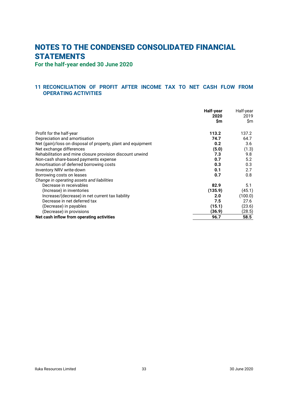<span id="page-34-0"></span>**For the half-year ended 30 June 2020**

## **11 RECONCILIATION OF PROFIT AFTER INCOME TAX TO NET CASH FLOW FROM OPERATING ACTIVITIES**

|                                                              | Half-year<br>2020 | Half-year<br>2019 |
|--------------------------------------------------------------|-------------------|-------------------|
|                                                              | \$m               | \$m               |
| Profit for the half-year                                     | 113.2             | 137.2             |
| Depreciation and amortisation                                | 74.7              | 64.7              |
| Net (gain)/loss on disposal of property, plant and equipment | 0.2               | 3.6               |
| Net exchange differences                                     | (5.0)             | (1.3)             |
| Rehabilitation and mine closure provision discount unwind    | 7.3               | 9.8               |
| Non-cash share-based payments expense                        | 0.7               | 5.2               |
| Amortisation of deferred borrowing costs                     | 0.3               | 0.3               |
| Inventory NRV write-down                                     | 0.1               | 2.7               |
| Borrowing costs on leases                                    | 0.7               | 0.8               |
| Change in operating assets and liabilities                   |                   |                   |
| Decrease in receivables                                      | 82.9              | 5.1               |
| (Increase) in inventories                                    | (135.9)           | (45.1)            |
| Increase/(decrease) in net current tax liability             | 2.0               | (100.0)           |
| Decrease in net deferred tax                                 | 7.5               | 27.6              |
| (Decrease) in payables                                       | (15.1)            | (23.6)            |
| (Decrease) in provisions                                     | (36.9)            | (28.5)            |
| Net cash inflow from operating activities                    | 96.7              | 58.5              |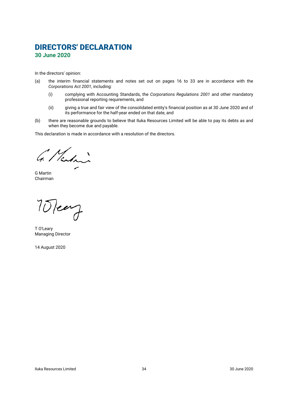## <span id="page-35-0"></span>**DIRECTORS' DECLARATION 30 June 2020**

In the directors' opinion:

- (a) the interim financial statements and notes set out on pages [16](#page-17-1) to [33](#page-21-0) are in accordance with the *Corporations Act 2001*, including:
	- (i) complying with Accounting Standards, the *Corporations Regulations 2001* and other mandatory professional reporting requirements, and
	- (ii) giving a true and fair view of the consolidated entity's financial position as at 30 June 2020 and of its performance for the half-year ended on that date, and
- (b) there are reasonable grounds to believe that Iluka Resources Limited will be able to pay its debts as and when they become due and payable.

This declaration is made in accordance with a resolution of the directors.

G. Martin

G Martin Chairman

10 leary

T O'Leary Managing Director

14 August 2020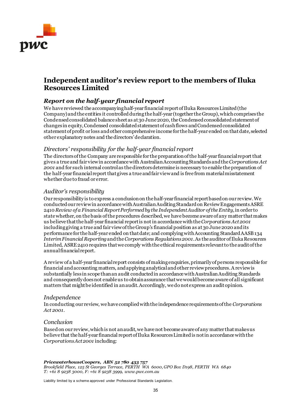

## **Independent auditor's review report to the members of Iluka Resources Limited**

## *Report on the half-year financial report*

We have reviewed the accompanying half-year financial report of Iluka Resources Limited (the Company) and the entities it controlled during the half-year (together the Group), which comprises the Condensed consolidated balance sheet as at 30 June 2020, theCondensedconsolidated statement of changes in equity, Condensed consolidated statement of cash flows and Condensed consolidated statement of profit or loss and other comprehensive income for the half-year ended on that date, selected other explanatorynotes and the directors' declaration.

## *Directors' responsibility for the half-year financial report*

The directors of the Company are responsible for the preparation of the half-year financial report that gives a true and fair view in accordance with Australian Accounting Standards and the *Corporations Act 2001* and for such internal control as the directors determine is necessary to enable the preparation of the half-year financial report that gives a true and fair view and is free from material misstatement whether due to fraud or error.

## *Auditor's responsibility*

Our responsibility is to express a conclusion on the half-year financial report based on our review. We conducted our review in accordance with Australian Auditing Standard on Review Engagements ASRE 2410 *Review of a Financial Report Performed by the Independent Auditor of the Entity*, in order to state whether, on the basis of the procedures described, we have become aware of any matter that makes us believe that the half-year financial report is not in accordance with the *Corporations Act 2001* including giving a true and fair view of the Group's financial position as at 30 June 2020 and its performance for the half-year ended on that date; and complying with Accounting Standard AASB 134 *Interim Financial Reporting*and the *Corporations Regulations 2001*. As the auditor of Iluka Resources Limited, ASRE 2410 requires that we comply with the ethical requirements relevant to the audit of the annual financial report.

A review of a half-year financial report consists of making enquiries, primarily of persons responsible for financial and accounting matters, and applying analytical and other review procedures. A review is substantially less in scope than an audit conducted in accordance with Australian Auditing Standards and consequently does not enable us to obtain assurance that we would become aware of all significant matters that might be identified in an audit. Accordingly, we do not express an audit opinion.

## *Independence*

In conducting our review, we have complied with the independence requirements of the *Corporations Act 2001*.

## *Conclusion*

Based on our review, which is not an audit, we have not become aware of any matter that makes us believe that the half-year financial report of Iluka Resources Limited is not in accordance with the *Corporations Act 2001* including:

*PricewaterhouseCoopers, ABN 52 780 433 757 Brookfield Place, 125 St Georges Terrace, PERTH WA 6000, GPO Box D198, PERTH WA 6840 T: +61 8 9238 3000, F: +61 8 9238 3999, www.pwc.com.au*

Liability limited by a scheme approved under Professional Standards Legislation.